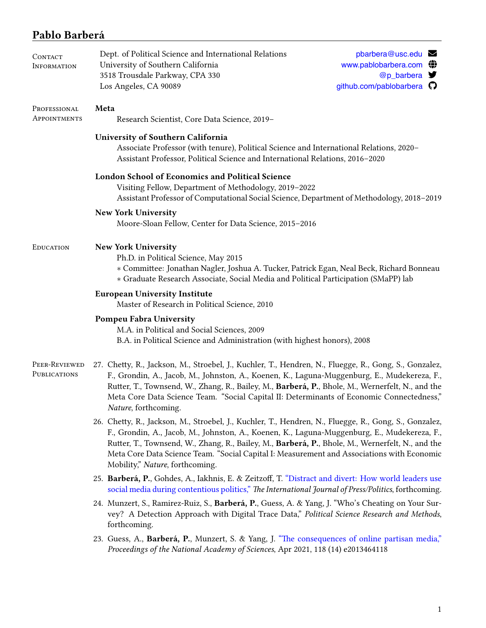# **Pablo Barberá**

| CONTACT<br><b>INFORMATION</b> | Dept. of Political Science and International Relations<br>University of Southern California<br>3518 Trousdale Parkway, CPA 330<br>Los Angeles, CA 90089                                                                                                                                                                                                                                                                                    | pbarbera@usc.edu<br>www.pablobarbera.com (<br>@p_barbera<br>github.com/pablobarbera <a></a> |  |  |
|-------------------------------|--------------------------------------------------------------------------------------------------------------------------------------------------------------------------------------------------------------------------------------------------------------------------------------------------------------------------------------------------------------------------------------------------------------------------------------------|---------------------------------------------------------------------------------------------|--|--|
| PROFESSIONAL<br>APPOINTMENTS  | Meta<br>Research Scientist, Core Data Science, 2019-                                                                                                                                                                                                                                                                                                                                                                                       |                                                                                             |  |  |
|                               | University of Southern California<br>Associate Professor (with tenure), Political Science and International Relations, 2020-<br>Assistant Professor, Political Science and International Relations, 2016-2020                                                                                                                                                                                                                              |                                                                                             |  |  |
|                               | London School of Economics and Political Science<br>Visiting Fellow, Department of Methodology, 2019-2022<br>Assistant Professor of Computational Social Science, Department of Methodology, 2018-2019                                                                                                                                                                                                                                     |                                                                                             |  |  |
|                               | <b>New York University</b><br>Moore-Sloan Fellow, Center for Data Science, 2015-2016                                                                                                                                                                                                                                                                                                                                                       |                                                                                             |  |  |
| EDUCATION                     | <b>New York University</b><br>Ph.D. in Political Science, May 2015<br>* Committee: Jonathan Nagler, Joshua A. Tucker, Patrick Egan, Neal Beck, Richard Bonneau<br>* Graduate Research Associate, Social Media and Political Participation (SMaPP) lab                                                                                                                                                                                      |                                                                                             |  |  |
|                               | <b>European University Institute</b><br>Master of Research in Political Science, 2010                                                                                                                                                                                                                                                                                                                                                      |                                                                                             |  |  |
|                               | Pompeu Fabra University<br>M.A. in Political and Social Sciences, 2009<br>B.A. in Political Science and Administration (with highest honors), 2008                                                                                                                                                                                                                                                                                         |                                                                                             |  |  |
| PEER-REVIEWED<br>PUBLICATIONS | 27. Chetty, R., Jackson, M., Stroebel, J., Kuchler, T., Hendren, N., Fluegge, R., Gong, S., Gonzalez,<br>F., Grondin, A., Jacob, M., Johnston, A., Koenen, K., Laguna-Muggenburg, E., Mudekereza, F.,<br>Rutter, T., Townsend, W., Zhang, R., Bailey, M., Barberá, P., Bhole, M., Wernerfelt, N., and the<br>Meta Core Data Science Team. "Social Capital II: Determinants of Economic Connectedness,"<br>Nature, forthcoming.             |                                                                                             |  |  |
|                               | 26. Chetty, R., Jackson, M., Stroebel, J., Kuchler, T., Hendren, N., Fluegge, R., Gong, S., Gonzalez,<br>F., Grondin, A., Jacob, M., Johnston, A., Koenen, K., Laguna-Muggenburg, E., Mudekereza, F.,<br>Rutter, T., Townsend, W., Zhang, R., Bailey, M., Barberá, P., Bhole, M., Wernerfelt, N., and the<br>Meta Core Data Science Team. "Social Capital I: Measurement and Associations with Economic<br>Mobility," Nature, forthcoming. |                                                                                             |  |  |
|                               | 25. Barberá, P., Gohdes, A., Iakhnis, E. & Zeitzoff, T. "Distract and divert: How world leaders use<br>social media during contentious politics," The International Journal of Press/Politics, forthcoming.                                                                                                                                                                                                                                |                                                                                             |  |  |
|                               | 24. Munzert, S., Ramirez-Ruiz, S., Barberá, P., Guess, A. & Yang, J. "Who's Cheating on Your Sur-<br>vey? A Detection Approach with Digital Trace Data," Political Science Research and Methods,<br>forthcoming.                                                                                                                                                                                                                           |                                                                                             |  |  |
|                               | 23. Guess, A., Barberá, P., Munzert, S. & Yang, J. "The consequences of online partisan media,"<br>Proceedings of the National Academy of Sciences, Apr 2021, 118 (14) e2013464118                                                                                                                                                                                                                                                         |                                                                                             |  |  |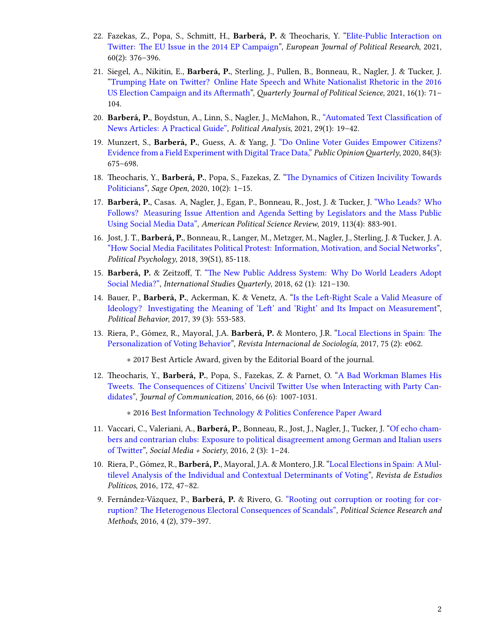- 22. Fazekas, Z., Popa, S., Schmitt, H., **Barberá, P.** & Theocharis, Y."[Elite-Public Interaction on](https://ejpr.onlinelibrary.wiley.com/doi/10.1111/1475-6765.12402) [Twitter: The EU Issue in the 2014 EP Campaign](https://ejpr.onlinelibrary.wiley.com/doi/10.1111/1475-6765.12402)", *European Journal of Political Research*, 2021, 60(2): 376–396.
- 21. Siegel, A., Nikitin, E., **Barberá, P.**, Sterling, J., Pullen, B., Bonneau, R., Nagler, J. & Tucker, J. "[Trumping Hate on Twitter? Online Hate Speech and White Nationalist Rhetoric in the 2016](http://dx.doi.org/10.1561/100.00019045) [US Election Campaign and its Aftermath](http://dx.doi.org/10.1561/100.00019045)", *Quarterly Journal of Political Science*, 2021, 16(1): 71– 104.
- 20. **Barberá, P.**, Boydstun, A., Linn, S., Nagler, J., McMahon, R., ["Automated Text Classification of](https://www.cambridge.org/core/journals/political-analysis/article/automated-text-classification-of-news-articles-a-practical-guide/10462DB284B1CD80C0FAE796AD786BC6) [News Articles: A Practical Guide"](https://www.cambridge.org/core/journals/political-analysis/article/automated-text-classification-of-news-articles-a-practical-guide/10462DB284B1CD80C0FAE796AD786BC6), *Political Analysis*, 2021, 29(1): 19–42.
- 19. Munzert, S., **Barberá, P.**, Guess, A. & Yang, J. ["Do Online Voter Guides Empower Citizens?](https://academic.oup.com/poq/advance-article/doi/10.1093/poq/nfaa037/6104133) [Evidence from a Field Experiment with Digital Trace Data,"](https://academic.oup.com/poq/advance-article/doi/10.1093/poq/nfaa037/6104133) *Public OpinionQuarterly*, 2020, 84(3): 675–698.
- 18. Theocharis, Y., **Barberá, P.**, Popa, S., Fazekas, Z."[The Dynamics of Citizen Incivility Towards](https://journals.sagepub.com/doi/full/10.1177/2158244020919447) [Politicians](https://journals.sagepub.com/doi/full/10.1177/2158244020919447)", *Sage Open*, 2020, 10(2): 1–15.
- 17. **Barberá, P.**, Casas. A, Nagler, J., Egan, P., Bonneau, R., Jost, J. & Tucker, J. ["Who Leads? Who](https://t.co/6KnjCczsqH) [Follows? Measuring Issue Attention and Agenda Setting by Legislators and the Mass Public](https://t.co/6KnjCczsqH) [Using Social Media Data",](https://t.co/6KnjCczsqH) *American Political Science Review*, 2019, 113(4): 883-901.
- 16. Jost, J. T., **Barberá, P.**, Bonneau, R., Langer, M., Metzger, M., Nagler, J., Sterling, J. & Tucker, J. A. ["How Social Media Facilitates Political Protest: Information, Motivation, and Social Networks"](http://onlinelibrary.wiley.com/doi/10.1111/pops.12478/full), *Political Psychology*, 2018, 39(S1), 85-118.
- 15. **Barberá, P.** & Zeitzoff, T. ["The New Public Address System: Why Do World Leaders Adopt](https://academic.oup.com/isq/article/doi/10.1093/isq/sqx047/4430887/The-New-Public-Address-System-Why-Do-World-Leaders) [Social Media?"](https://academic.oup.com/isq/article/doi/10.1093/isq/sqx047/4430887/The-New-Public-Address-System-Why-Do-World-Leaders), *International Studies Quarterly*, 2018, 62 (1): 121–130.
- 14. Bauer, P., **Barberá, P.**, Ackerman, K. & Venetz, A."[Is the Left-Right Scale a Valid Measure of](http://link.springer.com/article/10.1007/s11109-016-9368-2) [Ideology? Investigating the Meaning of 'Left' and 'Right' and Its Impact on Measurement"](http://link.springer.com/article/10.1007/s11109-016-9368-2), *Political Behavior*, 2017, 39 (3): 553-583.
- 13. Riera, P., Gómez, R., Mayoral, J.A. **Barberá, P.** & Montero, J.R. ["Local Elections in Spain: The](http://revintsociologia.revistas.csic.es/index.php/revintsociologia/article/view/675/832) [Personalization of Voting Behavior](http://revintsociologia.revistas.csic.es/index.php/revintsociologia/article/view/675/832)", *Revista Internacional de Sociología*, 2017, 75 (2): e062.

*∗* 2017 Best Article Award, given by the Editorial Board of the journal.

12. Theocharis, Y., **Barberá, P.**, Popa, S., Fazekas, Z. & Parnet, O. ["A Bad Workman Blames His](http://onlinelibrary.wiley.com/doi/10.1111/jcom.12259/abstract) [Tweets. The Consequences of Citizens' Uncivil Twitter Use when Interacting with Party Can](http://onlinelibrary.wiley.com/doi/10.1111/jcom.12259/abstract)[didates](http://onlinelibrary.wiley.com/doi/10.1111/jcom.12259/abstract)", *Journal of Communication*, 2016, 66 (6): 1007-1031.

*∗* 2016 [Best Information Technology & Politics Conference Paper Award](http://www.apsanet.org/section-18-best-conference-paper-award)

- 11. Vaccari, C., Valeriani, A., **Barberá, P.**, Bonneau, R., Jost, J., Nagler, J., Tucker, J. ["Of echo cham](http://sms.sagepub.com/content/2/3/2056305116664221.abstract)[bers and contrarian clubs: Exposure to political disagreement among German and Italian users](http://sms.sagepub.com/content/2/3/2056305116664221.abstract) [of Twitter"](http://sms.sagepub.com/content/2/3/2056305116664221.abstract), *Social Media + Society*, 2016, 2 (3): 1–24.
- 10. Riera, P., Gómez, R., **Barberá, P.**, Mayoral, J.A. & Montero, J.R. ["Local Elections in Spain: A Mul](http://www.cepc.gob.es/publicaciones/revistas/revistaselectronicas?IDR=3&IDN=1360&IDA=37721)[tilevel Analysis of the Individual and Contextual Determinants of Voting](http://www.cepc.gob.es/publicaciones/revistas/revistaselectronicas?IDR=3&IDN=1360&IDA=37721)", *Revista de Estudios Políticos*, 2016, 172, 47–82.
- 9. Fernández-Vázquez, P., **Barberá, P.** & Rivero, G. ["Rooting out corruption or rooting for cor](http://dx.doi.org/10.1017/psrm.2015.8)[ruption? The Heterogenous Electoral Consequences of Scandals",](http://dx.doi.org/10.1017/psrm.2015.8) *Political Science Research and Methods*, 2016, 4 (2), 379–397.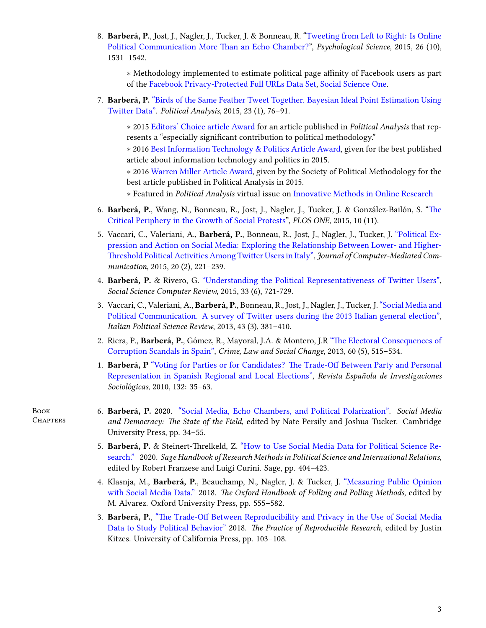8. **Barberá, P.**, Jost, J., Nagler, J., Tucker, J. & Bonneau, R. ["Tweeting from Left to Right: Is Online](http://pss.sagepub.com/content/early/2015/08/21/0956797615594620) [Political Communication More Than an Echo Chamber?](http://pss.sagepub.com/content/early/2015/08/21/0956797615594620)", *Psychological Science*, 2015, 26 (10), 1531–1542.

*∗* Methodology implemented to estimate political page affinity of Facebook users as part of the [Facebook Privacy-Protected Full URLs Data Set,](https://socialscience.one/files/partnershipone/files/urls-v2_1.pdf) [Social Science One](https://socialscience.one/).

7. **Barberá, P.** ["Birds of the Same Feather Tweet Together. Bayesian Ideal Point Estimation Using](http://pan.oxfordjournals.org/cgi/reprint/mpu011?ijkey=uMFPw4dsMHM7608&keytype=ref) [Twitter Data"](http://pan.oxfordjournals.org/cgi/reprint/mpu011?ijkey=uMFPw4dsMHM7608&keytype=ref). *Political Analysis*, 2015, 23 (1), 76–91.

*∗* 2015 [Editors' Choice article Award](http://oxfordjournals.org/our_journals/polana/editorschoice.html) for an article published in *Political Analysis* that represents a "especially significant contribution to political methodology."

*∗* 2016 [Best Information Technology & Politics Article Award](http://www.apsanet.org/section-18-best-information-technology-and-politicsp-award), given for the best published article about information technology and politics in 2015.

*∗* 2016 [Warren Miller Article Award](http://www.oxfordjournals.org/our_journals/polana/awards_warrenmiller.html), given by the Society of Political Methodology for the best article published in Political Analysis in 2015.

- *∗* Featured in *Political Analysis* virtual issue on [Innovative Methods in Online Research](https://www.cambridge.org/core/journals/political-analysis/issue/online-research-methods/FF4E7D31B561F7FC794AF5894A53E9F3)
- 6. **Barberá, P.**, Wang, N., Bonneau, R., Jost, J., Nagler, J., Tucker, J. & González-Bailón, S. ["The](http://journals.plos.org/plosone/article?id=10.1371/journal.pone.0143611) [Critical Periphery in the Growth of Social Protests](http://journals.plos.org/plosone/article?id=10.1371/journal.pone.0143611)", *PLOS ONE*, 2015, 10 (11).
- 5. Vaccari, C., Valeriani, A., **Barberá, P.**, Bonneau, R., Jost, J., Nagler, J., Tucker, J. ["Political Ex](http://onlinelibrary.wiley.com/doi/10.1111/jcc4.12108/abstract#.VLRLl9mdVFM.twitter)[pression and Action on Social Media: Exploring the Relationship Between Lower- and Higher-](http://onlinelibrary.wiley.com/doi/10.1111/jcc4.12108/abstract#.VLRLl9mdVFM.twitter)[Threshold Political Activities Among Twitter Users in Italy"](http://onlinelibrary.wiley.com/doi/10.1111/jcc4.12108/abstract#.VLRLl9mdVFM.twitter), *Journal of Computer-Mediated Communication*, 2015, 20 (2), 221–239.
- 4. **Barberá, P.** & Rivero, G. ["Understanding the Political Representativeness of Twitter Users"](http://ssc.sagepub.com/content/33/6/712), *Social Science Computer Review*, 2015, 33 (6), 721-729.
- 3. Vaccari, C., Valeriani, A., **Barberá, P.**, Bonneau, R., Jost, J., Nagler, J., Tucker, J.["Social Media and](http://www.rivisteweb.it/doi/10.1426/75245) [Political Communication. A survey of Twitter users during the 2013 Italian general election"](http://www.rivisteweb.it/doi/10.1426/75245), *Italian Political Science Review*, 2013, 43 (3), 381–410.
- 2. Riera, P., **Barberá, P.**, Gómez, R., Mayoral, J.A. & Montero, J.R ["The Electoral Consequences of](http://link.springer.com/article/10.1007/s10611-013-9479-1) [Corruption Scandals in Spain",](http://link.springer.com/article/10.1007/s10611-013-9479-1) *Crime, Law and Social Change*, 2013, 60 (5), 515–534.
- 1. **Barberá, P** ["Voting for Parties or for Candidates? The Trade-Off Between Party and Personal](http://www.reis.cis.es/REIS/PDF/REIS_132_021285919804928.pdf) [Representation in Spanish Regional and Local Elections",](http://www.reis.cis.es/REIS/PDF/REIS_132_021285919804928.pdf) *Revista Española de Investigaciones Sociológicas*, 2010, 132: 35–63.
- 6. **Barberá, P.** 2020. ["Social Media, Echo Chambers, and Political Polarization"](http://www.pablobarbera.com/static/echo-chambers.pdf). *Social Media and Democracy: The State of the Field*, edited by Nate Persily and Joshua Tucker. Cambridge University Press, pp. 34–55.
	- 5. **Barberá, P.** & Steinert-Threlkeld, Z. ["How to Use Social Media Data for Political Science Re](http://www.pablobarbera.com/static/social-media-data-generators.pdf)[search."](http://www.pablobarbera.com/static/social-media-data-generators.pdf) 2020. *Sage Handbook of Research Methods in Political Science and International Relations*, edited by Robert Franzese and Luigi Curini. Sage, pp. 404–423.
	- 4. Klasnja, M., **Barberá, P.**, Beauchamp, N., Nagler, J. & Tucker, J. ["Measuring Public Opinion](http://www.oxfordhandbooks.com/view/10.1093/oxfordhb/9780190213299.001.0001/oxfordhb-9780190213299-e-3) [with Social Media Data."](http://www.oxfordhandbooks.com/view/10.1093/oxfordhb/9780190213299.001.0001/oxfordhb-9780190213299-e-3) 2018. *The Oxford Handbook of Polling and Polling Methods*, edited by M. Alvarez. Oxford University Press, pp. 555–582.
	- 3. **Barberá, P.**, ["The Trade-Off Between Reproducibility and Privacy in the Use of Social Media](https://www.practicereproducibleresearch.org/case-studies/barbera.html) [Data to Study Political Behavior"](https://www.practicereproducibleresearch.org/case-studies/barbera.html) 2018. *The Practice of Reproducible Research*, edited by Justin Kitzes. University of California Press, pp. 103–108.

BooK **CHAPTERS**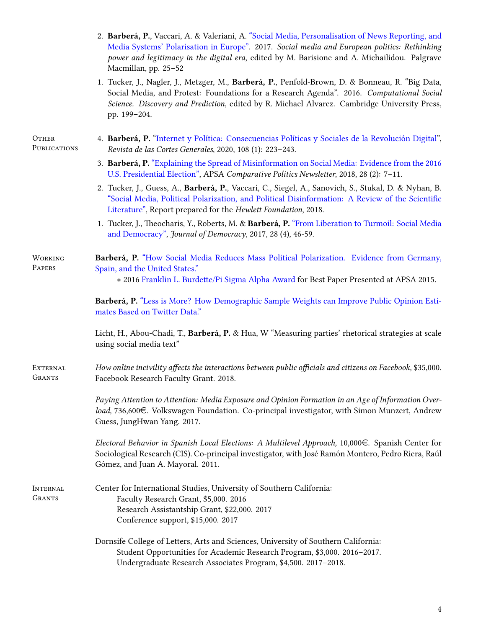|                           | 2. Barberá, P., Vaccari, A. & Valeriani, A. "Social Media, Personalisation of News Reporting, and<br>Media Systems' Polarisation in Europe". 2017. Social media and European politics: Rethinking<br>power and legitimacy in the digital era, edited by M. Barisione and A. Michailidou. Palgrave<br>Macmillan, pp. 25-52 |  |  |  |
|---------------------------|---------------------------------------------------------------------------------------------------------------------------------------------------------------------------------------------------------------------------------------------------------------------------------------------------------------------------|--|--|--|
|                           | 1. Tucker, J., Nagler, J., Metzger, M., Barberá, P., Penfold-Brown, D. & Bonneau, R. "Big Data,<br>Social Media, and Protest: Foundations for a Research Agenda". 2016. Computational Social<br>Science. Discovery and Prediction, edited by R. Michael Alvarez. Cambridge University Press,<br>pp. 199-204.              |  |  |  |
| OTHER<br>PUBLICATIONS     | 4. Barberá, P. "Internet y Política: Consecuencias Políticas y Sociales de la Revolución Digital",<br>Revista de las Cortes Generales, 2020, 108 (1): 223-243.                                                                                                                                                            |  |  |  |
|                           | 3. Barberá, P. "Explaining the Spread of Misinformation on Social Media: Evidence from the 2016<br>U.S. Presidential Election", APSA Comparative Politics Newsletter, 2018, 28 (2): 7-11.                                                                                                                                 |  |  |  |
|                           | 2. Tucker, J., Guess, A., Barberá, P., Vaccari, C., Siegel, A., Sanovich, S., Stukal, D. & Nyhan, B.<br>"Social Media, Political Polarization, and Political Disinformation: A Review of the Scientific<br>Literature", Report prepared for the Hewlett Foundation, 2018.                                                 |  |  |  |
|                           | 1. Tucker, J., Theocharis, Y., Roberts, M. & Barberá, P. "From Liberation to Turmoil: Social Media<br>and Democracy", Journal of Democracy, 2017, 28 (4), 46-59.                                                                                                                                                          |  |  |  |
| WORKING<br>PAPERS         | Barberá, P. "How Social Media Reduces Mass Political Polarization. Evidence from Germany,<br>Spain, and the United States."<br>* 2016 Franklin L. Burdette/Pi Sigma Alpha Award for Best Paper Presented at APSA 2015.                                                                                                    |  |  |  |
|                           | Barberá, P. "Less is More? How Demographic Sample Weights can Improve Public Opinion Esti-<br>mates Based on Twitter Data."                                                                                                                                                                                               |  |  |  |
|                           | Licht, H., Abou-Chadi, T., Barberá, P. & Hua, W "Measuring parties' rhetorical strategies at scale<br>using social media text"                                                                                                                                                                                            |  |  |  |
| EXTERNAL<br><b>GRANTS</b> | How online incivility affects the interactions between public officials and citizens on Facebook, \$35,000.<br>Facebook Research Faculty Grant. 2018.                                                                                                                                                                     |  |  |  |
|                           | Paying Attention to Attention: Media Exposure and Opinion Formation in an Age of Information Over-<br>load, 736,600€. Volkswagen Foundation. Co-principal investigator, with Simon Munzert, Andrew<br>Guess, JungHwan Yang. 2017.                                                                                         |  |  |  |
|                           | Electoral Behavior in Spanish Local Elections: A Multilevel Approach, 10,000 $\in$ . Spanish Center for<br>Sociological Research (CIS). Co-principal investigator, with José Ramón Montero, Pedro Riera, Raúl<br>Gómez, and Juan A. Mayoral. 2011.                                                                        |  |  |  |
| INTERNAL<br><b>GRANTS</b> | Center for International Studies, University of Southern California:<br>Faculty Research Grant, \$5,000. 2016<br>Research Assistantship Grant, \$22,000. 2017<br>Conference support, \$15,000. 2017                                                                                                                       |  |  |  |
|                           | Dornsife College of Letters, Arts and Sciences, University of Southern California:<br>Student Opportunities for Academic Research Program, \$3,000. 2016-2017.<br>Undergraduate Research Associates Program, \$4,500. 2017-2018.                                                                                          |  |  |  |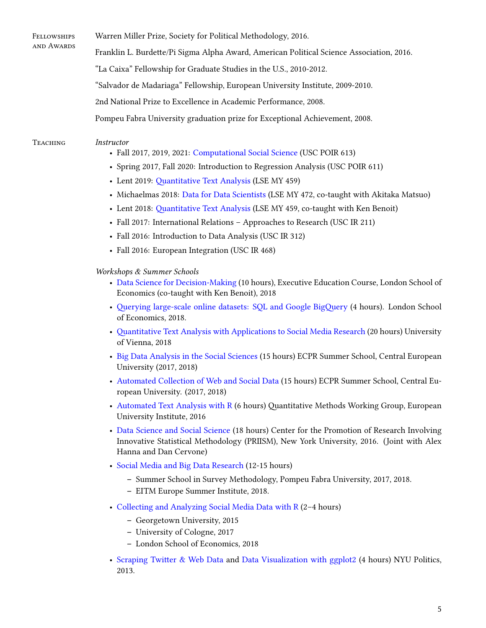**FELLOWSHIPS** Warren Miller Prize, Society for Political Methodology, 2016.

Franklin L. Burdette/Pi Sigma Alpha Award, American Political Science Association, 2016.

"La Caixa" Fellowship for Graduate Studies in the U.S., 2010-2012.

"Salvador de Madariaga" Fellowship, European University Institute, 2009-2010.

2nd National Prize to Excellence in Academic Performance, 2008.

Pompeu Fabra University graduation prize for Exceptional Achievement, 2008.

#### Teaching *Instructor*

and AwaRds

- Fall 2017, 2019, 2021: [Computational Social Science](http://pablobarbera.com/POIR613/) (USC POIR 613)
- Spring 2017, Fall 2020: Introduction to Regression Analysis (USC POIR 611)
- Lent 2019: [Quantitative Text Analysis](https://lse-my459.github.io/) (LSE MY 459)
- Michaelmas 2018: [Data for Data Scientists](https://lse-my472.github.io/) (LSE MY 472, co-taught with Akitaka Matsuo)
- Lent 2018: [Quantitative Text Analysis](https://lse-my459.github.io/) (LSE MY 459, co-taught with Ken Benoit)
- Fall 2017: International Relations Approaches to Research (USC IR 211)
- Fall 2016: Introduction to Data Analysis (USC IR 312)
- Fall 2016: European Integration (USC IR 468)

## *Workshops & Summer Schools*

- [Data Science for Decision-Making](https://www.lse.ac.uk/study-at-lse/executive-education/courses/secure/business-and-management/data-science-for-decision-making) (10 hours), Executive Education Course, London School of Economics (co-taught with Ken Benoit), 2018
- [Querying large-scale online datasets: SQL and Google BigQuery](http://pablobarbera.com/SQL-workshop/) (4 hours). London School of Economics, 2018.
- [Quantitative Text Analysis with Applications to Social Media Research](http://pablobarbera.com/text-analysis-vienna/) (20 hours) University of Vienna, 2018
- [Big Data Analysis in the Social Sciences](https://ecpr.eu/Events/PanelDetails.aspx?PanelID=7061&EventID=116) (15 hours) ECPR Summer School, Central European University (2017, 2018)
- [Automated Collection of Web and Social Data](https://ecpr.eu/Events/PanelDetails.aspx?PanelID=7055&EventID=116) (15 hours) ECPR Summer School, Central European University. (2017, 2018)
- [Automated Text Analysis with R](https://github.com/pablobarbera/eui-text-workshop) (6 hours) Quantitative Methods Working Group, European University Institute, 2016
- [Data Science and Social Science](https://github.com/pablobarbera/data-science-workshop) (18 hours) Center for the Promotion of Research Involving Innovative Statistical Methodology (PRIISM), New York University, 2016. (Joint with Alex Hanna and Dan Cervone)
- [Social Media and Big Data Research](http://pablobarbera.com/eitm) (12-15 hours)
	- **–** Summer School in Survey Methodology, Pompeu Fabra University, 2017, 2018.
	- **–** EITM Europe Summer Institute, 2018.
- [Collecting and Analyzing Social Media Data with R](http://pablobarbera.com/social-media-workshop/) (2–4 hours)
	- **–** Georgetown University, 2015
	- **–** University of Cologne, 2017
	- **–** London School of Economics, 2018
- [Scraping Twitter & Web Data](https://github.com/pablobarbera/workshop) and [Data Visualization with ggplot2](https://github.com/pablobarbera/Rdataviz) (4 hours) NYU Politics, 2013.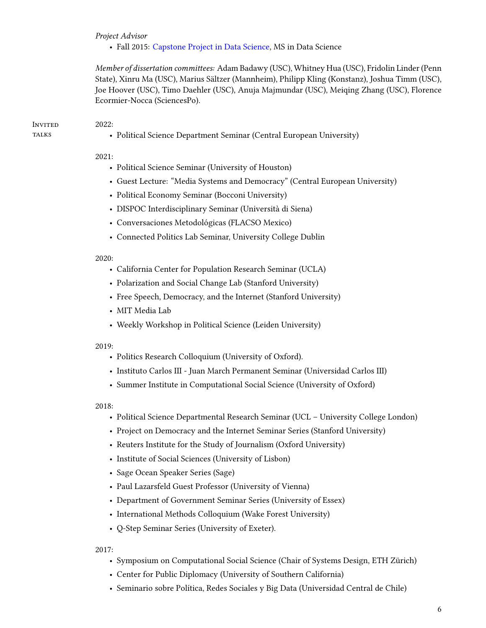#### *Project Advisor*

• Fall 2015: [Capstone Project in Data Science,](http://cds.nyu.edu/academics/ms-in-data-science/curriculum/required-courses/#ds-ga-1006) MS in Data Science

*Member of dissertation committees:* Adam Badawy (USC), Whitney Hua (USC), Fridolin Linder (Penn State), Xinru Ma (USC), Marius Sältzer (Mannheim), Philipp Kling (Konstanz), Joshua Timm (USC), Joe Hoover (USC), Timo Daehler (USC), Anuja Majmundar (USC), Meiqing Zhang (USC), Florence Ecormier-Nocca (SciencesPo).

#### **INVITED TALKS**

• Political Science Department Seminar (Central European University)

## 2021:

2022:

- Political Science Seminar (University of Houston)
- Guest Lecture: "Media Systems and Democracy" (Central European University)
- Political Economy Seminar (Bocconi University)
- DISPOC Interdisciplinary Seminar (Università di Siena)
- Conversaciones Metodológicas (FLACSO Mexico)
- Connected Politics Lab Seminar, University College Dublin

#### 2020:

- California Center for Population Research Seminar (UCLA)
- Polarization and Social Change Lab (Stanford University)
- Free Speech, Democracy, and the Internet (Stanford University)
- MIT Media Lab
- Weekly Workshop in Political Science (Leiden University)

#### 2019:

- Politics Research Colloquium (University of Oxford).
- Instituto Carlos III Juan March Permanent Seminar (Universidad Carlos III)
- Summer Institute in Computational Social Science (University of Oxford)

#### 2018:

- Political Science Departmental Research Seminar (UCL University College London)
- Project on Democracy and the Internet Seminar Series (Stanford University)
- Reuters Institute for the Study of Journalism (Oxford University)
- Institute of Social Sciences (University of Lisbon)
- Sage Ocean Speaker Series (Sage)
- Paul Lazarsfeld Guest Professor (University of Vienna)
- Department of Government Seminar Series (University of Essex)
- International Methods Colloquium (Wake Forest University)
- Q-Step Seminar Series (University of Exeter).

2017:

- Symposium on Computational Social Science (Chair of Systems Design, ETH Zürich)
- Center for Public Diplomacy (University of Southern California)
- Seminario sobre Política, Redes Sociales y Big Data (Universidad Central de Chile)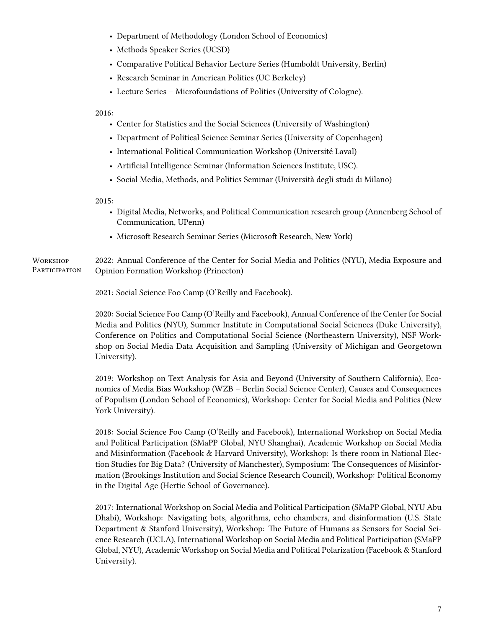- Department of Methodology (London School of Economics)
- Methods Speaker Series (UCSD)
- Comparative Political Behavior Lecture Series (Humboldt University, Berlin)
- Research Seminar in American Politics (UC Berkeley)
- Lecture Series Microfoundations of Politics (University of Cologne).

2016:

- Center for Statistics and the Social Sciences (University of Washington)
- Department of Political Science Seminar Series (University of Copenhagen)
- International Political Communication Workshop (Université Laval)
- Artificial Intelligence Seminar (Information Sciences Institute, USC).
- Social Media, Methods, and Politics Seminar (Università degli studi di Milano)

2015:

- Digital Media, Networks, and Political Communication research group (Annenberg School of Communication, UPenn)
- Microsoft Research Seminar Series (Microsoft Research, New York)

**WORKSHOP PARTICIPATION** 2022: Annual Conference of the Center for Social Media and Politics (NYU), Media Exposure and Opinion Formation Workshop (Princeton)

2021: Social Science Foo Camp (O'Reilly and Facebook).

2020: Social Science Foo Camp (O'Reilly and Facebook), Annual Conference of the Center for Social Media and Politics (NYU), Summer Institute in Computational Social Sciences (Duke University), Conference on Politics and Computational Social Science (Northeastern University), NSF Workshop on Social Media Data Acquisition and Sampling (University of Michigan and Georgetown University).

2019: Workshop on Text Analysis for Asia and Beyond (University of Southern California), Economics of Media Bias Workshop (WZB – Berlin Social Science Center), Causes and Consequences of Populism (London School of Economics), Workshop: Center for Social Media and Politics (New York University).

2018: Social Science Foo Camp (O'Reilly and Facebook), International Workshop on Social Media and Political Participation (SMaPP Global, NYU Shanghai), Academic Workshop on Social Media and Misinformation (Facebook & Harvard University), Workshop: Is there room in National Election Studies for Big Data? (University of Manchester), Symposium: The Consequences of Misinformation (Brookings Institution and Social Science Research Council), Workshop: Political Economy in the Digital Age (Hertie School of Governance).

2017: International Workshop on Social Media and Political Participation (SMaPP Global, NYU Abu Dhabi), Workshop: Navigating bots, algorithms, echo chambers, and disinformation (U.S. State Department & Stanford University), Workshop: The Future of Humans as Sensors for Social Science Research (UCLA), International Workshop on Social Media and Political Participation (SMaPP Global, NYU), Academic Workshop on Social Media and Political Polarization (Facebook & Stanford University).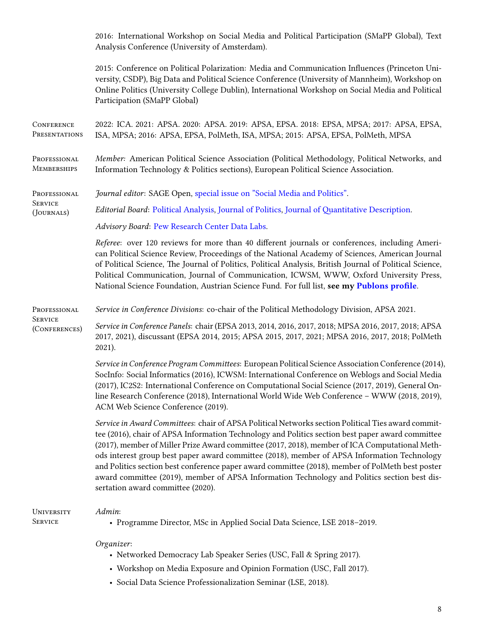2016: International Workshop on Social Media and Political Participation (SMaPP Global), Text Analysis Conference (University of Amsterdam).

2015: Conference on Political Polarization: Media and Communication Influences (Princeton University, CSDP), Big Data and Political Science Conference (University of Mannheim), Workshop on Online Politics (University College Dublin), International Workshop on Social Media and Political Participation (SMaPP Global)

**CONFERENCE PRESENTATIONS** 2022: ICA. 2021: APSA. 2020: APSA. 2019: APSA, EPSA. 2018: EPSA, MPSA; 2017: APSA, EPSA, ISA, MPSA; 2016: APSA, EPSA, PolMeth, ISA, MPSA; 2015: APSA, EPSA, PolMeth, MPSA

PROFESSIONAL **MEMBERSHIPS** *Member:* American Political Science Association (Political Methodology, Political Networks, and Information Technology & Politics sections), European Political Science Association.

**PROFESSIONAL** *Journal editor*: SAGE Open, [special issue on "Social Media and Politics"](https://journals.sagepub.com/topic/sgo-subjects/3468/sgo).

**SERVICE** (JouRnals) *Editorial Board*: [Political Analysis,](https://www.cambridge.org/core/journals/political-analysis/information/editorial-board) [Journal of Politics](https://www.journals.uchicago.edu/journals/jop/board), [Journal of Quantitative Description](https://journalqd.org/editorialboard).

*Advisory Board*: [Pew Research Center Data Labs](https://www.pewresearch.org/methods/about-data-labs/).

*Referee*: over 120 reviews for more than 40 different journals or conferences, including American Political Science Review, Proceedings of the National Academy of Sciences, American Journal of Political Science, The Journal of Politics, Political Analysis, British Journal of Political Science, Political Communication, Journal of Communication, ICWSM, WWW, Oxford University Press, National Science Foundation, Austrian Science Fund. For full list, **see my [Publons profile](https://publons.com/author/1291880/pablo-barbera)**.

**PROFESSIONAL** *Service in Conference Divisions*: co-chair of the Political Methodology Division, APSA 2021.

**SERVICE** (ConfeRences)

*Service in Conference Panels*: chair (EPSA 2013, 2014, 2016, 2017, 2018; MPSA 2016, 2017, 2018; APSA 2017, 2021), discussant (EPSA 2014, 2015; APSA 2015, 2017, 2021; MPSA 2016, 2017, 2018; PolMeth 2021).

*Service in Conference Program Committees*: European Political Science Association Conference (2014), SocInfo: Social Informatics (2016), ICWSM: International Conference on Weblogs and Social Media (2017), IC2S2: International Conference on Computational Social Science (2017, 2019), General Online Research Conference (2018), International World Wide Web Conference – WWW (2018, 2019), ACM Web Science Conference (2019).

*Service in Award Committees*: chair of APSA Political Networks section Political Ties award committee (2016), chair of APSA Information Technology and Politics section best paper award committee (2017), member of Miller Prize Award committee (2017, 2018), member of ICA Computational Methods interest group best paper award committee (2018), member of APSA Information Technology and Politics section best conference paper award committee (2018), member of PolMeth best poster award committee (2019), member of APSA Information Technology and Politics section best dissertation award committee (2020).

#### **UNIVERSITY** *Admin*:

**SERVICE** 

• Programme Director, MSc in Applied Social Data Science, LSE 2018–2019.

*Organizer*:

- Networked Democracy Lab Speaker Series (USC, Fall & Spring 2017).
- Workshop on Media Exposure and Opinion Formation (USC, Fall 2017).
- Social Data Science Professionalization Seminar (LSE, 2018).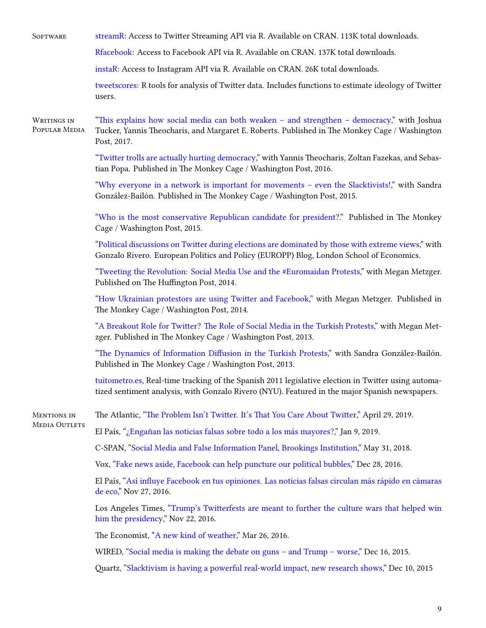| <b>SOFTWARE</b>                     | streamR: Access to Twitter Streaming API via R. Available on CRAN. 113K total downloads.                                                                                                                   |  |  |  |
|-------------------------------------|------------------------------------------------------------------------------------------------------------------------------------------------------------------------------------------------------------|--|--|--|
|                                     | Rfacebook: Access to Facebook API via R. Available on CRAN. 137K total downloads.                                                                                                                          |  |  |  |
|                                     | instaR: Access to Instagram API via R. Available on CRAN. 26K total downloads.                                                                                                                             |  |  |  |
|                                     | tweetscores: R tools for analysis of Twitter data. Includes functions to estimate ideology of Twitter<br>users.                                                                                            |  |  |  |
| WRITINGS IN<br>POPULAR MEDIA        | "This explains how social media can both weaken - and strengthen - democracy," with Joshua<br>Tucker, Yannis Theocharis, and Margaret E. Roberts. Published in The Monkey Cage / Washington<br>Post, 2017. |  |  |  |
|                                     | "Twitter trolls are actually hurting democracy," with Yannis Theocharis, Zoltan Fazekas, and Sebas-<br>tian Popa. Published in The Monkey Cage / Washington Post, 2016.                                    |  |  |  |
|                                     | "Why everyone in a network is important for movements - even the Slacktivists!," with Sandra<br>González-Bailón. Published in The Monkey Cage / Washington Post, 2015.                                     |  |  |  |
|                                     | "Who is the most conservative Republican candidate for president?." Published in The Monkey<br>Cage / Washington Post, 2015.                                                                               |  |  |  |
|                                     | "Political discussions on Twitter during elections are dominated by those with extreme views," with<br>Gonzalo Rivero. European Politics and Policy (EUROPP) Blog, London School of Economics.             |  |  |  |
|                                     | "Tweeting the Revolution: Social Media Use and the #Euromaidan Protests," with Megan Metzger.<br>Published on The Huffington Post, 2014.                                                                   |  |  |  |
|                                     | "How Ukrainian protestors are using Twitter and Facebook," with Megan Metzger. Published in<br>The Monkey Cage / Washington Post, 2014.                                                                    |  |  |  |
|                                     | "A Breakout Role for Twitter? The Role of Social Media in the Turkish Protests," with Megan Met-<br>zger. Published in The Monkey Cage / Washington Post, 2013.                                            |  |  |  |
|                                     | "The Dynamics of Information Diffusion in the Turkish Protests," with Sandra González-Bailón.<br>Published in The Monkey Cage / Washington Post, 2013.                                                     |  |  |  |
|                                     | tuitometro.es, Real-time tracking of the Spanish 2011 legislative election in Twitter using automa-<br>tized sentiment analysis, with Gonzalo Rivero (NYU). Featured in the major Spanish newspapers.      |  |  |  |
| MENTIONS IN<br><b>MEDIA OUTLETS</b> | The Atlantic, "The Problem Isn't Twitter. It's That You Care About Twitter," April 29, 2019.                                                                                                               |  |  |  |
|                                     | El País, "¿Engañan las noticias falsas sobre todo a los más mayores?," Jan 9, 2019.                                                                                                                        |  |  |  |
|                                     | C-SPAN, "Social Media and False Information Panel, Brookings Institution," May 31, 2018.                                                                                                                   |  |  |  |
|                                     | Vox, "Fake news aside, Facebook can help puncture our political bubbles," Dec 28, 2016.                                                                                                                    |  |  |  |
|                                     | El País, "Así influye Facebook en tus opiniones. Las noticias falsas circulan más rápido en cámaras<br>de eco," Nov 27, 2016.                                                                              |  |  |  |
|                                     | Los Angeles Times, "Trump's Twitterfests are meant to further the culture wars that helped win<br>him the presidency," Nov 22, 2016.                                                                       |  |  |  |
|                                     | The Economist, "A new kind of weather," Mar 26, 2016.                                                                                                                                                      |  |  |  |
|                                     | WIRED, "Social media is making the debate on guns - and Trump - worse," Dec 16, 2015.                                                                                                                      |  |  |  |
|                                     | Quartz, "Slacktivism is having a powerful real-world impact, new research shows," Dec 10, 2015                                                                                                             |  |  |  |